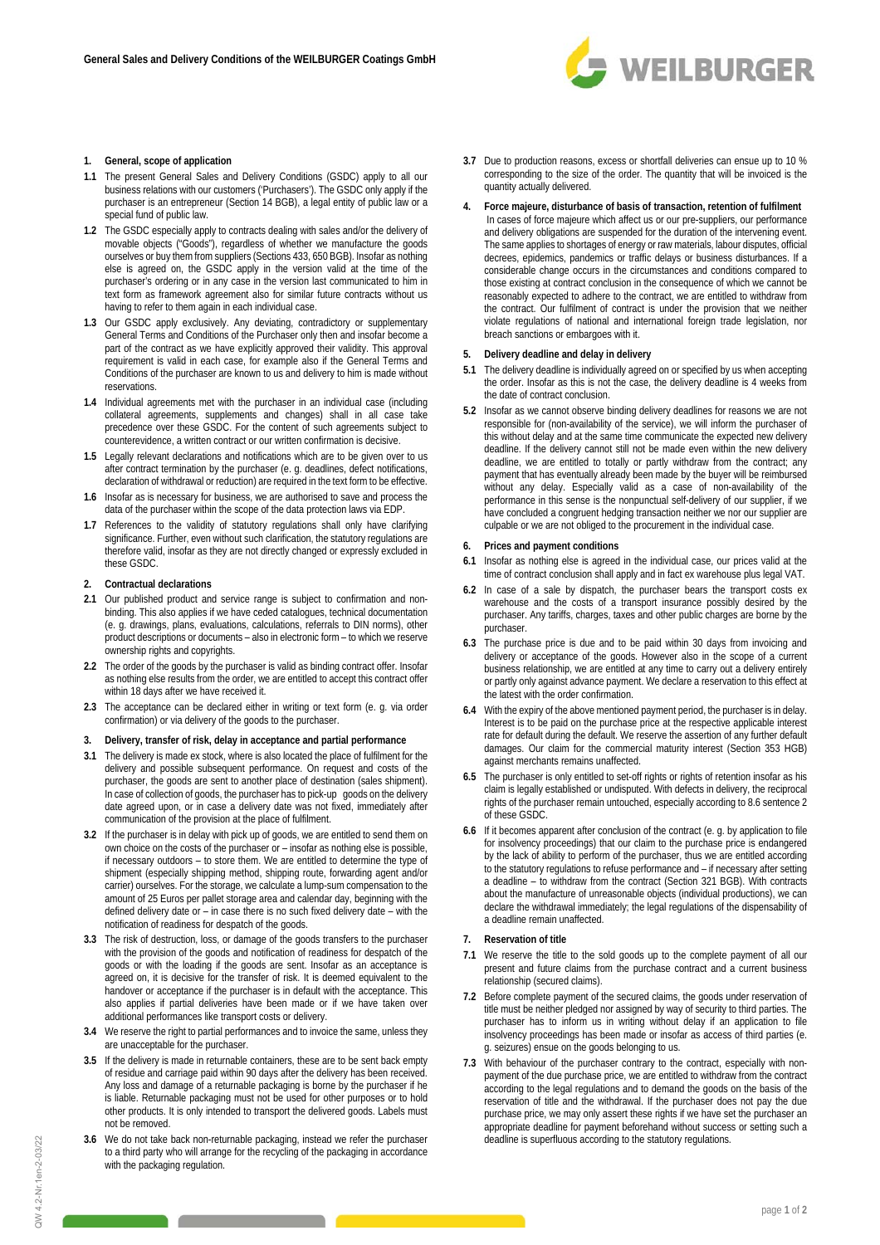

### **1. General, scope of application**

- **1.1** The present General Sales and Delivery Conditions (GSDC) apply to all our business relations with our customers ('Purchasers'). The GSDC only apply if the purchaser is an entrepreneur (Section 14 BGB), a legal entity of public law or a .<br>special fund of public law.
- **1.2** The GSDC especially apply to contracts dealing with sales and/or the delivery of movable objects ("Goods"), regardless of whether we manufacture the goods ourselves or buy them from suppliers (Sections 433, 650 BGB). Insofar as nothing else is agreed on, the GSDC apply in the version valid at the time of the purchaser's ordering or in any case in the version last communicated to him in text form as framework agreement also for similar future contracts without us having to refer to them again in each individual case.
- **1.3** Our GSDC apply exclusively. Any deviating, contradictory or supplementary General Terms and Conditions of the Purchaser only then and insofar become a part of the contract as we have explicitly approved their validity. This approval requirement is valid in each case, for example also if the General Terms and Conditions of the purchaser are known to us and delivery to him is made without reservations.
- **1.4** Individual agreements met with the purchaser in an individual case (including collateral agreements, supplements and changes) shall in all case take precedence over these GSDC. For the content of such agreements subject to counterevidence, a written contract or our written confirmation is decisive.
- **1.5** Legally relevant declarations and notifications which are to be given over to us after contract termination by the purchaser (e. g. deadlines, defect notifications, declaration of withdrawal or reduction) are required in the text form to be effective.
- **1.6** Insofar as is necessary for business, we are authorised to save and process the data of the purchaser within the scope of the data protection laws via EDP.
- **1.7** References to the validity of statutory regulations shall only have clarifying significance. Further, even without such clarification, the statutory regulations are therefore valid, insofar as they are not directly changed or expressly excluded in these GSDC.

### **2. Contractual declarations**

- **2.1** Our published product and service range is subject to confirmation and nonbinding. This also applies if we have ceded catalogues, technical documentation (e. g. drawings, plans, evaluations, calculations, referrals to DIN norms), other product descriptions or documents – also in electronic form – to which we reserve ownership rights and copyrights.
- **2.2** The order of the goods by the purchaser is valid as binding contract offer. Insofar as nothing else results from the order, we are entitled to accept this contract offer within 18 days after we have received it.
- **2.3** The acceptance can be declared either in writing or text form (e. g. via order confirmation) or via delivery of the goods to the purchaser.
- **3. Delivery, transfer of risk, delay in acceptance and partial performance**
- **3.1** The delivery is made ex stock, where is also located the place of fulfilment for the delivery and possible subsequent performance. On request and costs of the purchaser, the goods are sent to another place of destination (sales shipment). In case of collection of goods, the purchaser has to pick-up goods on the delivery date agreed upon, or in case a delivery date was not fixed, immediately after communication of the provision at the place of fulfilment.
- **3.2** If the purchaser is in delay with pick up of goods, we are entitled to send them on own choice on the costs of the purchaser or – insofar as nothing else is possible, if necessary outdoors – to store them. We are entitled to determine the type of shipment (especially shipping method, shipping route, forwarding agent and/or carrier) ourselves. For the storage, we calculate a lump-sum compensation to the amount of 25 Euros per pallet storage area and calendar day, beginning with the defined delivery date or – in case there is no such fixed delivery date – with the notification of readiness for despatch of the goods.
- **3.3** The risk of destruction, loss, or damage of the goods transfers to the purchaser with the provision of the goods and notification of readiness for despatch of the goods or with the loading if the goods are sent. Insofar as an acceptance is agreed on, it is decisive for the transfer of risk. It is deemed equivalent to the handover or acceptance if the purchaser is in default with the acceptance. This also applies if partial deliveries have been made or if we have taken over additional performances like transport costs or delivery.
- **3.4** We reserve the right to partial performances and to invoice the same, unless they are unacceptable for the purchaser.
- **3.5** If the delivery is made in returnable containers, these are to be sent back empty of residue and carriage paid within 90 days after the delivery has been received. Any loss and damage of a returnable packaging is borne by the purchaser if he is liable. Returnable packaging must not be used for other purposes or to hold other products. It is only intended to transport the delivered goods. Labels must not be removed.
- **3.6** We do not take back non-returnable packaging, instead we refer the purchaser to a third party who will arrange for the recycling of the packaging in accordance with the packaging regulation.
- **3.7** Due to production reasons, excess or shortfall deliveries can ensue up to 10 % corresponding to the size of the order. The quantity that will be invoiced is the quantity actually delivered.
- **4. Force majeure, disturbance of basis of transaction, retention of fulfilment** 
	- In cases of force majeure which affect us or our pre-suppliers, our performance and delivery obligations are suspended for the duration of the intervening event. The same applies to shortages of energy or raw materials, labour disputes, official decrees, epidemics, pandemics or traffic delays or business disturbances. If a considerable change occurs in the circumstances and conditions compared to those existing at contract conclusion in the consequence of which we cannot be reasonably expected to adhere to the contract, we are entitled to withdraw from the contract. Our fulfilment of contract is under the provision that we neither violate regulations of national and international foreign trade legislation, nor breach sanctions or embargoes with it.

# **5. Delivery deadline and delay in delivery**

- **5.1** The delivery deadline is individually agreed on or specified by us when accepting the order. Insofar as this is not the case, the delivery deadline is 4 weeks from the date of contract conclusion.
- **5.2** Insofar as we cannot observe binding delivery deadlines for reasons we are not responsible for (non-availability of the service), we will inform the purchaser of this without delay and at the same time communicate the expected new delivery deadline. If the delivery cannot still not be made even within the new delivery deadline, we are entitled to totally or partly withdraw from the contract; any payment that has eventually already been made by the buyer will be reimbursed without any delay. Especially valid as a case of non-availability of the performance in this sense is the nonpunctual self-delivery of our supplier, if we have concluded a congruent hedging transaction neither we nor our supplier are culpable or we are not obliged to the procurement in the individual case.

### **6. Prices and payment conditions**

- **6.1** Insofar as nothing else is agreed in the individual case, our prices valid at the time of contract conclusion shall apply and in fact ex warehouse plus legal VAT.
- **6.2** In case of a sale by dispatch, the purchaser bears the transport costs ex warehouse and the costs of a transport insurance possibly desired by the purchaser. Any tariffs, charges, taxes and other public charges are borne by the purchaser.
- **6.3** The purchase price is due and to be paid within 30 days from invoicing and delivery or acceptance of the goods. However also in the scope of a current business relationship, we are entitled at any time to carry out a delivery entirely or partly only against advance payment. We declare a reservation to this effect at the latest with the order confirmation.
- **6.4** With the expiry of the above mentioned payment period, the purchaser is in delay. Interest is to be paid on the purchase price at the respective applicable interest rate for default during the default. We reserve the assertion of any further default damages. Our claim for the commercial maturity interest (Section 353 HGB) against merchants remains unaffected.
- **6.5** The purchaser is only entitled to set-off rights or rights of retention insofar as his claim is legally established or undisputed. With defects in delivery, the reciprocal rights of the purchaser remain untouched, especially according to 8.6 sentence 2 of these GSDC.
- **6.6** If it becomes apparent after conclusion of the contract (e. g. by application to file for insolvency proceedings) that our claim to the purchase price is endangered by the lack of ability to perform of the purchaser, thus we are entitled according to the statutory regulations to refuse performance and – if necessary after setting a deadline – to withdraw from the contract (Section 321 BGB). With contracts about the manufacture of unreasonable objects (individual productions), we can declare the withdrawal immediately; the legal regulations of the dispensability of a deadline remain unaffected.

#### **7. Reservation of title**

- **7.1** We reserve the title to the sold goods up to the complete payment of all our present and future claims from the purchase contract and a current business relationship (secured claims).
- **7.2** Before complete payment of the secured claims, the goods under reservation of title must be neither pledged nor assigned by way of security to third parties. The purchaser has to inform us in writing without delay if an application to file insolvency proceedings has been made or insofar as access of third parties (e. g. seizures) ensue on the goods belonging to us.
- **7.3** With behaviour of the purchaser contrary to the contract, especially with nonpayment of the due purchase price, we are entitled to withdraw from the contract according to the legal regulations and to demand the goods on the basis of the reservation of title and the withdrawal. If the purchaser does not pay the due purchase price, we may only assert these rights if we have set the purchaser an appropriate deadline for payment beforehand without success or setting such a deadline is superfluous according to the statutory regulations.